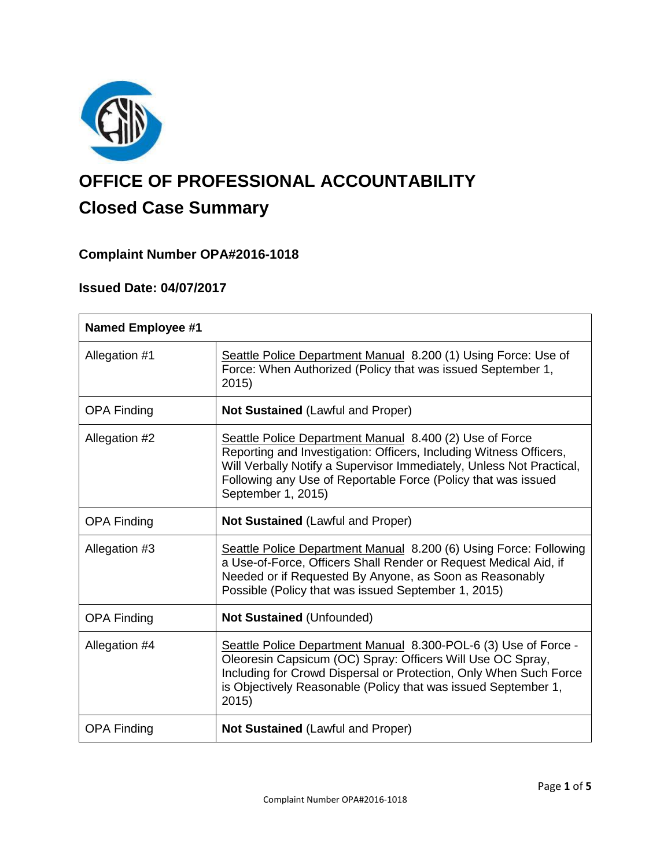

# **OFFICE OF PROFESSIONAL ACCOUNTABILITY Closed Case Summary**

# **Complaint Number OPA#2016-1018**

# **Issued Date: 04/07/2017**

| <b>Named Employee #1</b> |                                                                                                                                                                                                                                                                                              |
|--------------------------|----------------------------------------------------------------------------------------------------------------------------------------------------------------------------------------------------------------------------------------------------------------------------------------------|
| Allegation #1            | Seattle Police Department Manual 8.200 (1) Using Force: Use of<br>Force: When Authorized (Policy that was issued September 1,<br>2015)                                                                                                                                                       |
| <b>OPA Finding</b>       | Not Sustained (Lawful and Proper)                                                                                                                                                                                                                                                            |
| Allegation #2            | Seattle Police Department Manual 8.400 (2) Use of Force<br>Reporting and Investigation: Officers, Including Witness Officers,<br>Will Verbally Notify a Supervisor Immediately, Unless Not Practical,<br>Following any Use of Reportable Force (Policy that was issued<br>September 1, 2015) |
| <b>OPA Finding</b>       | <b>Not Sustained (Lawful and Proper)</b>                                                                                                                                                                                                                                                     |
| Allegation #3            | Seattle Police Department Manual 8.200 (6) Using Force: Following<br>a Use-of-Force, Officers Shall Render or Request Medical Aid, if<br>Needed or if Requested By Anyone, as Soon as Reasonably<br>Possible (Policy that was issued September 1, 2015)                                      |
| <b>OPA Finding</b>       | <b>Not Sustained (Unfounded)</b>                                                                                                                                                                                                                                                             |
| Allegation #4            | Seattle Police Department Manual 8.300-POL-6 (3) Use of Force -<br>Oleoresin Capsicum (OC) Spray: Officers Will Use OC Spray,<br>Including for Crowd Dispersal or Protection, Only When Such Force<br>is Objectively Reasonable (Policy that was issued September 1,<br>2015                 |
| <b>OPA Finding</b>       | <b>Not Sustained (Lawful and Proper)</b>                                                                                                                                                                                                                                                     |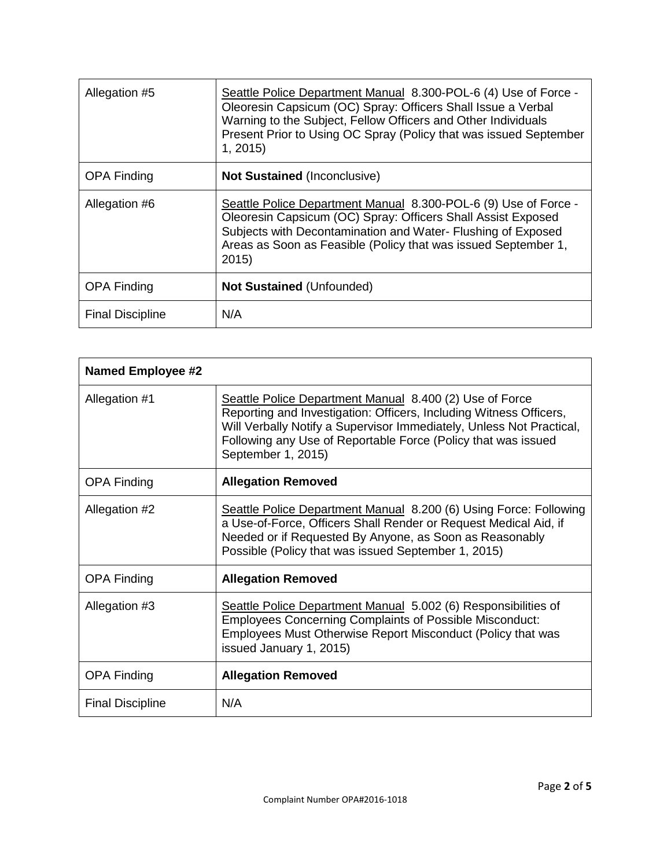| Allegation #5           | Seattle Police Department Manual 8.300-POL-6 (4) Use of Force -<br>Oleoresin Capsicum (OC) Spray: Officers Shall Issue a Verbal<br>Warning to the Subject, Fellow Officers and Other Individuals<br>Present Prior to Using OC Spray (Policy that was issued September<br>1, 2015 |
|-------------------------|----------------------------------------------------------------------------------------------------------------------------------------------------------------------------------------------------------------------------------------------------------------------------------|
| <b>OPA Finding</b>      | <b>Not Sustained (Inconclusive)</b>                                                                                                                                                                                                                                              |
| Allegation #6           | Seattle Police Department Manual 8.300-POL-6 (9) Use of Force -<br>Oleoresin Capsicum (OC) Spray: Officers Shall Assist Exposed<br>Subjects with Decontamination and Water- Flushing of Exposed<br>Areas as Soon as Feasible (Policy that was issued September 1,<br>2015        |
| <b>OPA Finding</b>      | <b>Not Sustained (Unfounded)</b>                                                                                                                                                                                                                                                 |
| <b>Final Discipline</b> | N/A                                                                                                                                                                                                                                                                              |

| <b>Named Employee #2</b> |                                                                                                                                                                                                                                                                                              |
|--------------------------|----------------------------------------------------------------------------------------------------------------------------------------------------------------------------------------------------------------------------------------------------------------------------------------------|
| Allegation #1            | Seattle Police Department Manual 8.400 (2) Use of Force<br>Reporting and Investigation: Officers, Including Witness Officers,<br>Will Verbally Notify a Supervisor Immediately, Unless Not Practical,<br>Following any Use of Reportable Force (Policy that was issued<br>September 1, 2015) |
| <b>OPA Finding</b>       | <b>Allegation Removed</b>                                                                                                                                                                                                                                                                    |
| Allegation #2            | Seattle Police Department Manual 8.200 (6) Using Force: Following<br>a Use-of-Force, Officers Shall Render or Request Medical Aid, if<br>Needed or if Requested By Anyone, as Soon as Reasonably<br>Possible (Policy that was issued September 1, 2015)                                      |
| <b>OPA Finding</b>       | <b>Allegation Removed</b>                                                                                                                                                                                                                                                                    |
| Allegation #3            | Seattle Police Department Manual 5.002 (6) Responsibilities of<br><b>Employees Concerning Complaints of Possible Misconduct:</b><br>Employees Must Otherwise Report Misconduct (Policy that was<br>issued January 1, 2015)                                                                   |
| <b>OPA Finding</b>       | <b>Allegation Removed</b>                                                                                                                                                                                                                                                                    |
| <b>Final Discipline</b>  | N/A                                                                                                                                                                                                                                                                                          |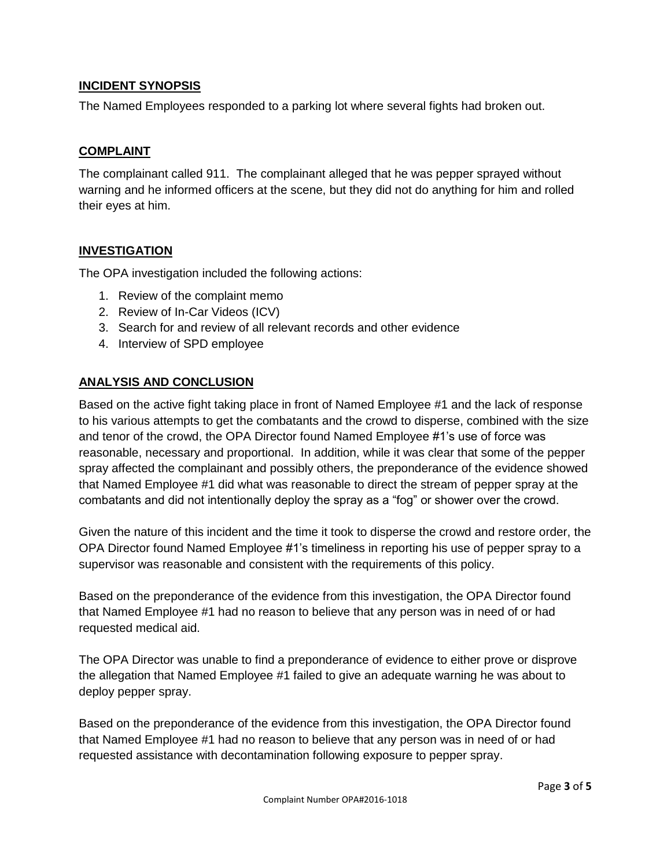# **INCIDENT SYNOPSIS**

The Named Employees responded to a parking lot where several fights had broken out.

#### **COMPLAINT**

The complainant called 911. The complainant alleged that he was pepper sprayed without warning and he informed officers at the scene, but they did not do anything for him and rolled their eyes at him.

#### **INVESTIGATION**

The OPA investigation included the following actions:

- 1. Review of the complaint memo
- 2. Review of In-Car Videos (ICV)
- 3. Search for and review of all relevant records and other evidence
- 4. Interview of SPD employee

# **ANALYSIS AND CONCLUSION**

Based on the active fight taking place in front of Named Employee #1 and the lack of response to his various attempts to get the combatants and the crowd to disperse, combined with the size and tenor of the crowd, the OPA Director found Named Employee #1's use of force was reasonable, necessary and proportional. In addition, while it was clear that some of the pepper spray affected the complainant and possibly others, the preponderance of the evidence showed that Named Employee #1 did what was reasonable to direct the stream of pepper spray at the combatants and did not intentionally deploy the spray as a "fog" or shower over the crowd.

Given the nature of this incident and the time it took to disperse the crowd and restore order, the OPA Director found Named Employee #1's timeliness in reporting his use of pepper spray to a supervisor was reasonable and consistent with the requirements of this policy.

Based on the preponderance of the evidence from this investigation, the OPA Director found that Named Employee #1 had no reason to believe that any person was in need of or had requested medical aid.

The OPA Director was unable to find a preponderance of evidence to either prove or disprove the allegation that Named Employee #1 failed to give an adequate warning he was about to deploy pepper spray.

Based on the preponderance of the evidence from this investigation, the OPA Director found that Named Employee #1 had no reason to believe that any person was in need of or had requested assistance with decontamination following exposure to pepper spray.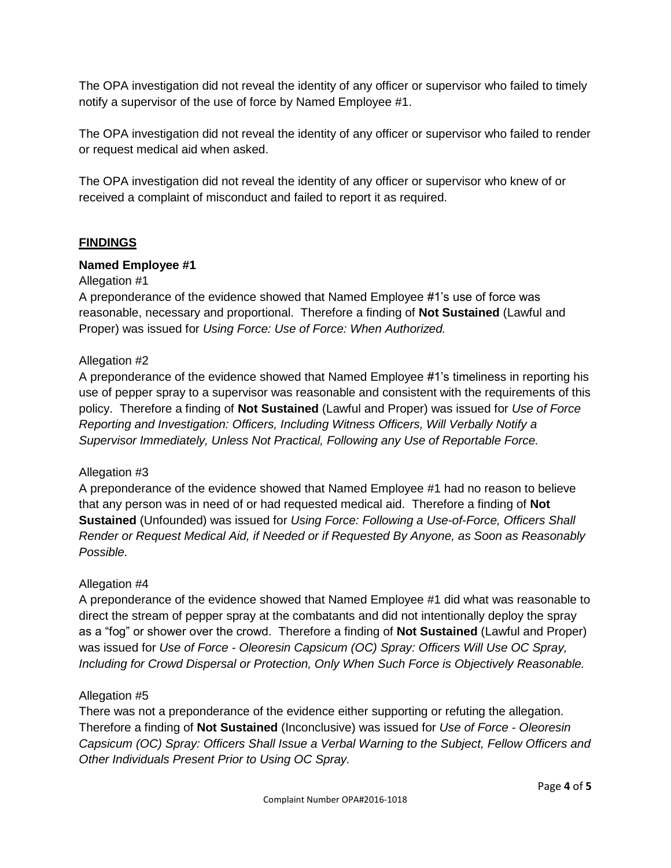The OPA investigation did not reveal the identity of any officer or supervisor who failed to timely notify a supervisor of the use of force by Named Employee #1.

The OPA investigation did not reveal the identity of any officer or supervisor who failed to render or request medical aid when asked.

The OPA investigation did not reveal the identity of any officer or supervisor who knew of or received a complaint of misconduct and failed to report it as required.

# **FINDINGS**

#### **Named Employee #1**

#### Allegation #1

A preponderance of the evidence showed that Named Employee #1's use of force was reasonable, necessary and proportional. Therefore a finding of **Not Sustained** (Lawful and Proper) was issued for *Using Force: Use of Force: When Authorized.*

#### Allegation #2

A preponderance of the evidence showed that Named Employee #1's timeliness in reporting his use of pepper spray to a supervisor was reasonable and consistent with the requirements of this policy. Therefore a finding of **Not Sustained** (Lawful and Proper) was issued for *Use of Force Reporting and Investigation: Officers, Including Witness Officers, Will Verbally Notify a Supervisor Immediately, Unless Not Practical, Following any Use of Reportable Force.*

#### Allegation #3

A preponderance of the evidence showed that Named Employee #1 had no reason to believe that any person was in need of or had requested medical aid. Therefore a finding of **Not Sustained** (Unfounded) was issued for *Using Force: Following a Use-of-Force, Officers Shall Render or Request Medical Aid, if Needed or if Requested By Anyone, as Soon as Reasonably Possible.*

#### Allegation #4

A preponderance of the evidence showed that Named Employee #1 did what was reasonable to direct the stream of pepper spray at the combatants and did not intentionally deploy the spray as a "fog" or shower over the crowd. Therefore a finding of **Not Sustained** (Lawful and Proper) was issued for *Use of Force - Oleoresin Capsicum (OC) Spray: Officers Will Use OC Spray, Including for Crowd Dispersal or Protection, Only When Such Force is Objectively Reasonable.*

#### Allegation #5

There was not a preponderance of the evidence either supporting or refuting the allegation. Therefore a finding of **Not Sustained** (Inconclusive) was issued for *Use of Force - Oleoresin Capsicum (OC) Spray: Officers Shall Issue a Verbal Warning to the Subject, Fellow Officers and Other Individuals Present Prior to Using OC Spray.*